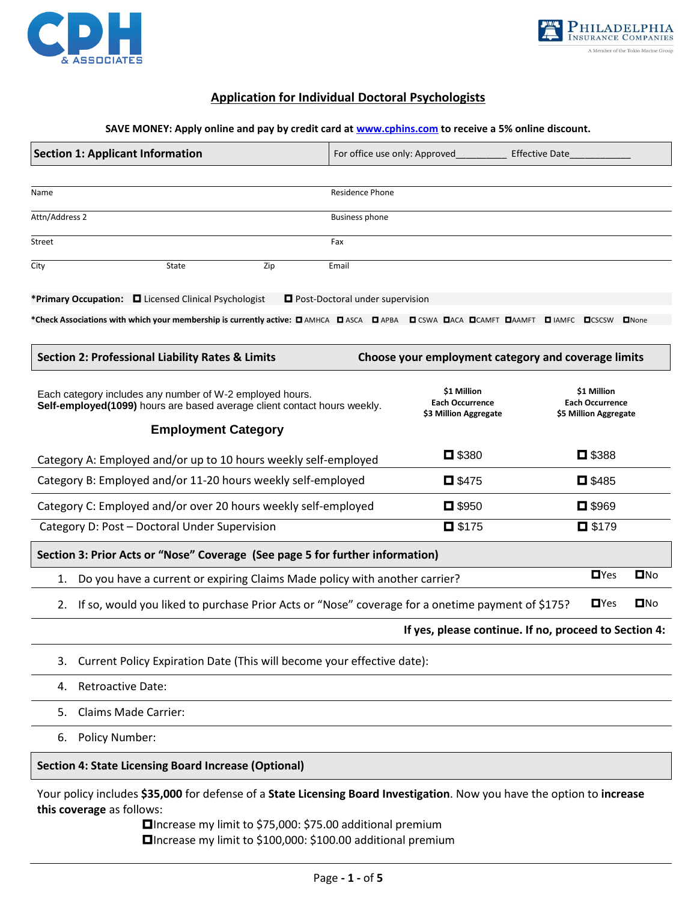



## **Application for Individual Doctoral Psychologists**

#### **SAVE MONEY: Apply online and pay by credit card at [www.cphins.com](http://www.cphins.com/) to receive a 5% online discount.**

| <b>Section 1: Applicant Information</b>                                                                                              | For office use only: Approved                                  | <b>Effective Date</b>                                          |
|--------------------------------------------------------------------------------------------------------------------------------------|----------------------------------------------------------------|----------------------------------------------------------------|
|                                                                                                                                      |                                                                |                                                                |
| Name                                                                                                                                 | <b>Residence Phone</b>                                         |                                                                |
| Attn/Address 2                                                                                                                       | <b>Business phone</b>                                          |                                                                |
| Street                                                                                                                               | Fax                                                            |                                                                |
| <b>State</b><br>Zip<br>City                                                                                                          | Email                                                          |                                                                |
| *Primary Occupation: <b>D</b> Licensed Clinical Psychologist                                                                         | Post-Doctoral under supervision                                |                                                                |
| *Check Associations with which your membership is currently active: D AMHCA DASCA DAPBA DCSWA DACA DCAMFT DAMFT DIAMFC               |                                                                | $\n  None\n$<br>$\blacksquare$ CSCSW                           |
| <b>Section 2: Professional Liability Rates &amp; Limits</b>                                                                          | Choose your employment category and coverage limits            |                                                                |
| Each category includes any number of W-2 employed hours.<br>Self-employed(1099) hours are based average client contact hours weekly. | \$1 Million<br><b>Each Occurrence</b><br>\$3 Million Aggregate | \$1 Million<br><b>Each Occurrence</b><br>\$5 Million Aggregate |
| <b>Employment Category</b>                                                                                                           |                                                                |                                                                |
| Category A: Employed and/or up to 10 hours weekly self-employed                                                                      | $\Box$ \$380                                                   | ■ \$388                                                        |
| Category B: Employed and/or 11-20 hours weekly self-employed                                                                         | $\Box$ \$475                                                   | $\Box$ \$485                                                   |
| Category C: Employed and/or over 20 hours weekly self-employed                                                                       | $\Box$ \$950                                                   | $\Box$ \$969                                                   |
| Category D: Post - Doctoral Under Supervision                                                                                        | $\Box$ \$175                                                   | $\Box$ \$179                                                   |
| Section 3: Prior Acts or "Nose" Coverage (See page 5 for further information)                                                        |                                                                |                                                                |
| Do you have a current or expiring Claims Made policy with another carrier?<br>1.                                                     |                                                                | $\blacksquare$ Yes<br>DNO                                      |
| If so, would you liked to purchase Prior Acts or "Nose" coverage for a onetime payment of \$175?<br>2.                               |                                                                | $\blacksquare$ Yes<br>$\square$ No                             |
|                                                                                                                                      |                                                                | If yes, please continue. If no, proceed to Section 4:          |
| Current Policy Expiration Date (This will become your effective date):<br>3.                                                         |                                                                |                                                                |

- 4. Retroactive Date:
- 5. Claims Made Carrier:
- 6. Policy Number:

## **Section 4: State Licensing Board Increase (Optional)**

Your policy includes **\$35,000** for defense of a **State Licensing Board Investigation**. Now you have the option to **increase this coverage** as follows:

> Increase my limit to \$75,000: \$75.00 additional premium Increase my limit to \$100,000: \$100.00 additional premium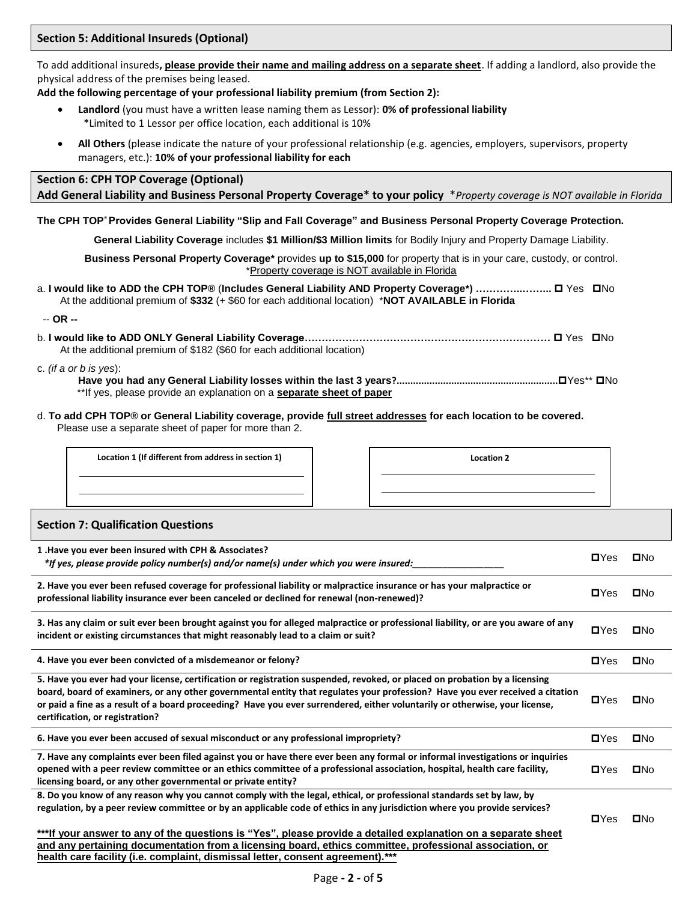To add additional insureds**, please provide their name and mailing address on a separate sheet**. If adding a landlord, also provide the physical address of the premises being leased.

**Add the following percentage of your professional liability premium (from Section 2):**

- **Landlord** (you must have a written lease naming them as Lessor): **0% of professional liability**  \*Limited to 1 Lessor per office location, each additional is 10%
- **All Others** (please indicate the nature of your professional relationship (e.g. agencies, employers, supervisors, property managers, etc.): **10% of your professional liability for each**

## **Section 6: CPH TOP Coverage (Optional) Add General Liability and Business Personal Property Coverage\* to your policy** \**Property coverage is NOT available in Florida*

**The CPH TOP**® **Provides General Liability "Slip and Fall Coverage" and Business Personal Property Coverage Protection.** 

**General Liability Coverage** includes **\$1 Million/\$3 Million limits** for Bodily Injury and Property Damage Liability.

**Business Personal Property Coverage\*** provides **up to \$15,000** for property that is in your care, custody, or control. \*Property coverage is NOT available in Florida

a. I would like to ADD the CPH TOP® (Includes General Liability AND Property Coverage\*) …………………… □ Yes □ No At the additional premium of **\$332** (+ \$60 for each additional location) \***NOT AVAILABLE in Florida**

-- **OR --**

b. **I would like to ADD ONLY General Liability Coverage………………………………………………………………**  Yes No At the additional premium of \$182 (\$60 for each additional location)

c. *(if a or b is yes*):

**Have you had any General Liability losses within the last 3 years?...........................................................**Yes\*\* No \*\*If yes, please provide an explanation on a **separate sheet of paper**

d. **To add CPH TOP® or General Liability coverage, provide full street addresses for each location to be covered.**  Please use a separate sheet of paper for more than 2.

**Location 1 (If different from address in section 1) Location 2**

### **Section 7: Qualification Questions**

| 1. Have you ever been insured with CPH & Associates?<br>*If yes, please provide policy number(s) and/or name(s) under which you were insured:                                                                                                                                                                                                                                                                                 | $\blacksquare$ | $\square$ No |
|-------------------------------------------------------------------------------------------------------------------------------------------------------------------------------------------------------------------------------------------------------------------------------------------------------------------------------------------------------------------------------------------------------------------------------|----------------|--------------|
| 2. Have you ever been refused coverage for professional liability or malpractice insurance or has your malpractice or<br>professional liability insurance ever been canceled or declined for renewal (non-renewed)?                                                                                                                                                                                                           | $\blacksquare$ | $\square$ No |
| 3. Has any claim or suit ever been brought against you for alleged malpractice or professional liability, or are you aware of any<br>incident or existing circumstances that might reasonably lead to a claim or suit?                                                                                                                                                                                                        | $\blacksquare$ | $\square$ No |
| 4. Have you ever been convicted of a misdemeanor or felony?                                                                                                                                                                                                                                                                                                                                                                   | $\blacksquare$ | $\square$ No |
| 5. Have you ever had your license, certification or registration suspended, revoked, or placed on probation by a licensing<br>board, board of examiners, or any other governmental entity that regulates your profession? Have you ever received a citation<br>or paid a fine as a result of a board proceeding? Have you ever surrendered, either voluntarily or otherwise, your license,<br>certification, or registration? | $\blacksquare$ | $\square$ No |
| 6. Have you ever been accused of sexual misconduct or any professional impropriety?                                                                                                                                                                                                                                                                                                                                           | $\blacksquare$ | $\square$ No |
| 7. Have any complaints ever been filed against you or have there ever been any formal or informal investigations or inquiries<br>opened with a peer review committee or an ethics committee of a professional association, hospital, health care facility,<br>licensing board, or any other governmental or private entity?                                                                                                   | $\blacksquare$ | $\square$ No |
| 8. Do you know of any reason why you cannot comply with the legal, ethical, or professional standards set by law, by<br>regulation, by a peer review committee or by an applicable code of ethics in any jurisdiction where you provide services?                                                                                                                                                                             | $\blacksquare$ | $\square$ No |
| ***If your answer to any of the questions is "Yes", please provide a detailed explanation on a separate sheet<br>and any pertaining documentation from a licensing board, ethics committee, professional association, or<br>health care facility (i.e. complaint, dismissal letter, consent agreement).***                                                                                                                    |                |              |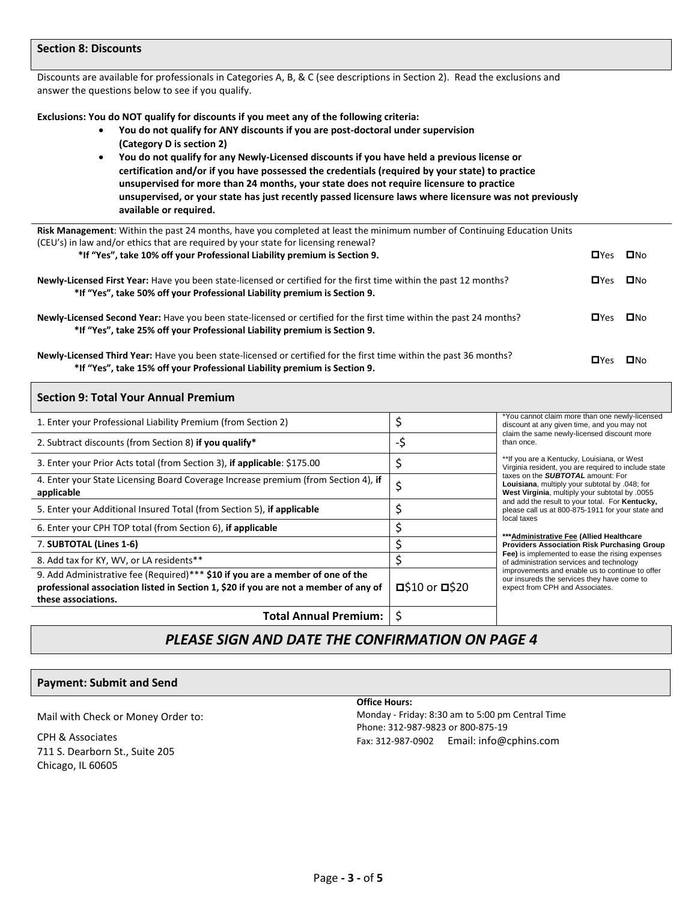#### **Section 8: Discounts**

Discounts are available for professionals in Categories A, B, & C (see descriptions in Section 2). Read the exclusions and answer the questions below to see if you qualify.

**Exclusions: You do NOT qualify for discounts if you meet any of the following criteria:**

- **You do not qualify for ANY discounts if you are post-doctoral under supervision (Category D is section 2)**
- **You do not qualify for any Newly-Licensed discounts if you have held a previous license or certification and/or if you have possessed the credentials (required by your state) to practice unsupervised for more than 24 months, your state does not require licensure to practice unsupervised, or your state has just recently passed licensure laws where licensure was not previously available or required.**

| Risk Management: Within the past 24 months, have you completed at least the minimum number of Continuing Education Units<br>(CEU's) in law and/or ethics that are required by your state for licensing renewal? |              |            |
|-----------------------------------------------------------------------------------------------------------------------------------------------------------------------------------------------------------------|--------------|------------|
| *If "Yes", take 10% off your Professional Liability premium is Section 9.                                                                                                                                       | $\Box$ Yes   | □No        |
|                                                                                                                                                                                                                 |              |            |
| <b>Newly-Licensed First Year:</b> Have you been state-licensed or certified for the first time within the past 12 months?                                                                                       | $\Box$ Yes   | <b>ON∩</b> |
| *If "Yes", take 50% off your Professional Liability premium is Section 9.                                                                                                                                       |              |            |
|                                                                                                                                                                                                                 |              |            |
| <b>Newly-Licensed Second Year:</b> Have you been state-licensed or certified for the first time within the past 24 months?                                                                                      | □Yes         | <b>ONO</b> |
| *If "Yes", take 25% off your Professional Liability premium is Section 9.                                                                                                                                       |              |            |
|                                                                                                                                                                                                                 |              |            |
| Newly-Licensed Third Year: Have you been state-licensed or certified for the first time within the past 36 months?                                                                                              | <b>Ш</b> ҮРЅ | ⊟No        |
| *If "Yes", take 15% off your Professional Liability premium is Section 9.                                                                                                                                       |              |            |

| <b>Section 9: Total Your Annual Premium</b>                                                                                                                                                   |                          |                                                                                                                                                                                                                                                                                                                                                                                                                   |
|-----------------------------------------------------------------------------------------------------------------------------------------------------------------------------------------------|--------------------------|-------------------------------------------------------------------------------------------------------------------------------------------------------------------------------------------------------------------------------------------------------------------------------------------------------------------------------------------------------------------------------------------------------------------|
| 1. Enter your Professional Liability Premium (from Section 2)                                                                                                                                 | \$                       | *You cannot claim more than one newly-licensed<br>discount at any given time, and you may not<br>claim the same newly-licensed discount more<br>than once.<br>**If you are a Kentucky, Louisiana, or West<br>Virginia resident, you are required to include state<br>taxes on the <b>SUBTOTAL</b> amount: For<br>Louisiana, multiply your subtotal by .048; for<br>West Virginia, multiply your subtotal by .0055 |
| 2. Subtract discounts (from Section 8) if you qualify*                                                                                                                                        | -\$                      |                                                                                                                                                                                                                                                                                                                                                                                                                   |
| 3. Enter your Prior Acts total (from Section 3), if applicable: \$175.00                                                                                                                      | \$                       |                                                                                                                                                                                                                                                                                                                                                                                                                   |
| 4. Enter your State Licensing Board Coverage Increase premium (from Section 4), if<br>applicable                                                                                              | \$                       |                                                                                                                                                                                                                                                                                                                                                                                                                   |
| 5. Enter your Additional Insured Total (from Section 5), if applicable                                                                                                                        |                          | and add the result to your total. For Kentucky,<br>please call us at 800-875-1911 for your state and<br>local taxes                                                                                                                                                                                                                                                                                               |
| 6. Enter your CPH TOP total (from Section 6), if applicable                                                                                                                                   |                          |                                                                                                                                                                                                                                                                                                                                                                                                                   |
| 7. SUBTOTAL (Lines 1-6)                                                                                                                                                                       |                          | ***Administrative Fee (Allied Healthcare<br><b>Providers Association Risk Purchasing Group</b>                                                                                                                                                                                                                                                                                                                    |
| 8. Add tax for KY, WV, or LA residents**                                                                                                                                                      |                          | Fee) is implemented to ease the rising expenses<br>of administration services and technology                                                                                                                                                                                                                                                                                                                      |
| 9. Add Administrative fee (Required)*** \$10 if you are a member of one of the<br>professional association listed in Section 1, \$20 if you are not a member of any of<br>these associations. | גב ס 10 or <b>ם</b> \$20 | improvements and enable us to continue to offer<br>our insureds the services they have come to<br>expect from CPH and Associates.                                                                                                                                                                                                                                                                                 |
| <b>Total Annual Premium:</b>                                                                                                                                                                  |                          |                                                                                                                                                                                                                                                                                                                                                                                                                   |

# *PLEASE SIGN AND DATE THE CONFIRMATION ON PAGE 4*

### **Payment: Submit and Send**

Mail with Check or Money Order to:

CPH & Associates 711 S. Dearborn St., Suite 205 Chicago, IL 60605

#### **Office Hours:**

Monday - Friday: 8:30 am to 5:00 pm Central Time Phone: 312-987-9823 or 800-875-19 Fax: 312-987-0902 Email: info@cphins.com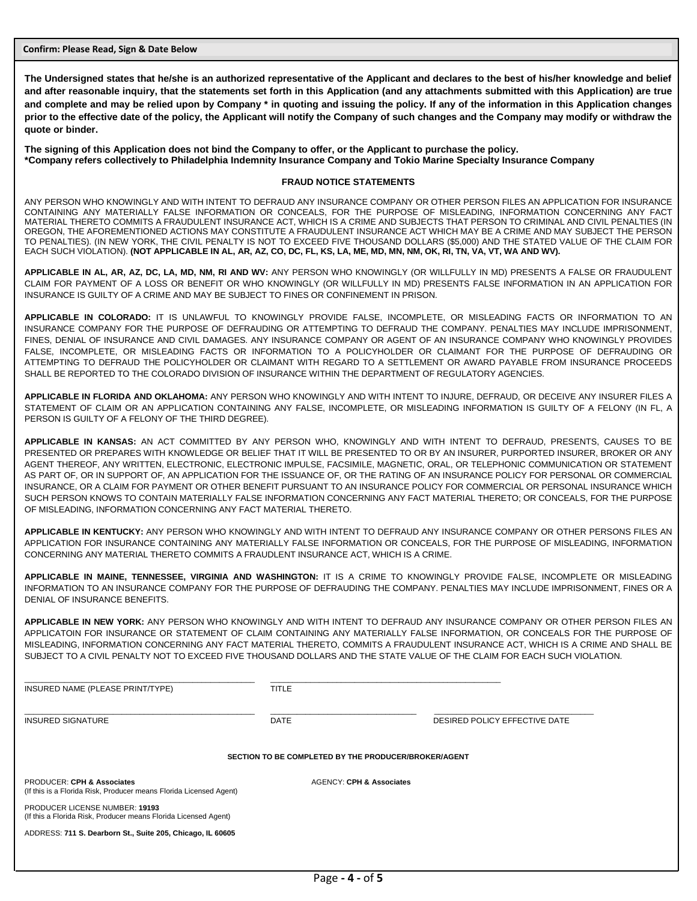**Confirm: Please Read, Sign & Date Below**

**The Undersigned states that he/she is an authorized representative of the Applicant and declares to the best of his/her knowledge and belief and after reasonable inquiry, that the statements set forth in this Application (and any attachments submitted with this Application) are true and complete and may be relied upon by Company \* in quoting and issuing the policy. If any of the information in this Application changes prior to the effective date of the policy, the Applicant will notify the Company of such changes and the Company may modify or withdraw the quote or binder.** 

**The signing of this Application does not bind the Company to offer, or the Applicant to purchase the policy. \*Company refers collectively to Philadelphia Indemnity Insurance Company and Tokio Marine Specialty Insurance Company**

#### **FRAUD NOTICE STATEMENTS**

ANY PERSON WHO KNOWINGLY AND WITH INTENT TO DEFRAUD ANY INSURANCE COMPANY OR OTHER PERSON FILES AN APPLICATION FOR INSURANCE CONTAINING ANY MATERIALLY FALSE INFORMATION OR CONCEALS, FOR THE PURPOSE OF MISLEADING, INFORMATION CONCERNING ANY FACT MATERIAL THERETO COMMITS A FRAUDULENT INSURANCE ACT, WHICH IS A CRIME AND SUBJECTS THAT PERSON TO CRIMINAL AND CIVIL PENALTIES (IN OREGON, THE AFOREMENTIONED ACTIONS MAY CONSTITUTE A FRAUDULENT INSURANCE ACT WHICH MAY BE A CRIME AND MAY SUBJECT THE PERSON TO PENALTIES). (IN NEW YORK, THE CIVIL PENALTY IS NOT TO EXCEED FIVE THOUSAND DOLLARS (\$5,000) AND THE STATED VALUE OF THE CLAIM FOR EACH SUCH VIOLATION). **(NOT APPLICABLE IN AL, AR, AZ, CO, DC, FL, KS, LA, ME, MD, MN, NM, OK, RI, TN, VA, VT, WA AND WV).**

**APPLICABLE IN AL, AR, AZ, DC, LA, MD, NM, RI AND WV:** ANY PERSON WHO KNOWINGLY (OR WILLFULLY IN MD) PRESENTS A FALSE OR FRAUDULENT CLAIM FOR PAYMENT OF A LOSS OR BENEFIT OR WHO KNOWINGLY (OR WILLFULLY IN MD) PRESENTS FALSE INFORMATION IN AN APPLICATION FOR INSURANCE IS GUILTY OF A CRIME AND MAY BE SUBJECT TO FINES OR CONFINEMENT IN PRISON.

**APPLICABLE IN COLORADO:** IT IS UNLAWFUL TO KNOWINGLY PROVIDE FALSE, INCOMPLETE, OR MISLEADING FACTS OR INFORMATION TO AN INSURANCE COMPANY FOR THE PURPOSE OF DEFRAUDING OR ATTEMPTING TO DEFRAUD THE COMPANY. PENALTIES MAY INCLUDE IMPRISONMENT, FINES, DENIAL OF INSURANCE AND CIVIL DAMAGES. ANY INSURANCE COMPANY OR AGENT OF AN INSURANCE COMPANY WHO KNOWINGLY PROVIDES FALSE, INCOMPLETE, OR MISLEADING FACTS OR INFORMATION TO A POLICYHOLDER OR CLAIMANT FOR THE PURPOSE OF DEFRAUDING OR ATTEMPTING TO DEFRAUD THE POLICYHOLDER OR CLAIMANT WITH REGARD TO A SETTLEMENT OR AWARD PAYABLE FROM INSURANCE PROCEEDS SHALL BE REPORTED TO THE COLORADO DIVISION OF INSURANCE WITHIN THE DEPARTMENT OF REGULATORY AGENCIES.

**APPLICABLE IN FLORIDA AND OKLAHOMA:** ANY PERSON WHO KNOWINGLY AND WITH INTENT TO INJURE, DEFRAUD, OR DECEIVE ANY INSURER FILES A STATEMENT OF CLAIM OR AN APPLICATION CONTAINING ANY FALSE, INCOMPLETE, OR MISLEADING INFORMATION IS GUILTY OF A FELONY (IN FL, A PERSON IS GUILTY OF A FELONY OF THE THIRD DEGREE).

**APPLICABLE IN KANSAS:** AN ACT COMMITTED BY ANY PERSON WHO, KNOWINGLY AND WITH INTENT TO DEFRAUD, PRESENTS, CAUSES TO BE PRESENTED OR PREPARES WITH KNOWLEDGE OR BELIEF THAT IT WILL BE PRESENTED TO OR BY AN INSURER, PURPORTED INSURER, BROKER OR ANY AGENT THEREOF, ANY WRITTEN, ELECTRONIC, ELECTRONIC IMPULSE, FACSIMILE, MAGNETIC, ORAL, OR TELEPHONIC COMMUNICATION OR STATEMENT AS PART OF, OR IN SUPPORT OF, AN APPLICATION FOR THE ISSUANCE OF, OR THE RATING OF AN INSURANCE POLICY FOR PERSONAL OR COMMERCIAL INSURANCE, OR A CLAIM FOR PAYMENT OR OTHER BENEFIT PURSUANT TO AN INSURANCE POLICY FOR COMMERCIAL OR PERSONAL INSURANCE WHICH SUCH PERSON KNOWS TO CONTAIN MATERIALLY FALSE INFORMATION CONCERNING ANY FACT MATERIAL THERETO; OR CONCEALS, FOR THE PURPOSE OF MISLEADING, INFORMATION CONCERNING ANY FACT MATERIAL THERETO.

**APPLICABLE IN KENTUCKY:** ANY PERSON WHO KNOWINGLY AND WITH INTENT TO DEFRAUD ANY INSURANCE COMPANY OR OTHER PERSONS FILES AN APPLICATION FOR INSURANCE CONTAINING ANY MATERIALLY FALSE INFORMATION OR CONCEALS, FOR THE PURPOSE OF MISLEADING, INFORMATION CONCERNING ANY MATERIAL THERETO COMMITS A FRAUDLENT INSURANCE ACT, WHICH IS A CRIME.

**APPLICABLE IN MAINE, TENNESSEE, VIRGINIA AND WASHINGTON:** IT IS A CRIME TO KNOWINGLY PROVIDE FALSE, INCOMPLETE OR MISLEADING INFORMATION TO AN INSURANCE COMPANY FOR THE PURPOSE OF DEFRAUDING THE COMPANY. PENALTIES MAY INCLUDE IMPRISONMENT, FINES OR A DENIAL OF INSURANCE BENEFITS.

**APPLICABLE IN NEW YORK:** ANY PERSON WHO KNOWINGLY AND WITH INTENT TO DEFRAUD ANY INSURANCE COMPANY OR OTHER PERSON FILES AN APPLICATOIN FOR INSURANCE OR STATEMENT OF CLAIM CONTAINING ANY MATERIALLY FALSE INFORMATION, OR CONCEALS FOR THE PURPOSE OF MISLEADING, INFORMATION CONCERNING ANY FACT MATERIAL THERETO, COMMITS A FRAUDULENT INSURANCE ACT, WHICH IS A CRIME AND SHALL BE SUBJECT TO A CIVIL PENALTY NOT TO EXCEED FIVE THOUSAND DOLLARS AND THE STATE VALUE OF THE CLAIM FOR EACH SUCH VIOLATION.

| INSURED NAME (PLEASE PRINT/TYPE)                                                                            | <b>TITLE</b>                        |                                                      |
|-------------------------------------------------------------------------------------------------------------|-------------------------------------|------------------------------------------------------|
| <b>INSURED SIGNATURE</b>                                                                                    | DATE                                | DESIRED POLICY EFFECTIVE DATE                        |
|                                                                                                             |                                     | SECTION TO BE COMPLETED BY THE PRODUCER/BROKER/AGENT |
| <b>PRODUCER: CPH &amp; Associates</b><br>(If this is a Florida Risk, Producer means Florida Licensed Agent) | <b>AGENCY: CPH &amp; Associates</b> |                                                      |
| <b>PRODUCER LICENSE NUMBER: 19193</b><br>(If this a Florida Risk, Producer means Florida Licensed Agent)    |                                     |                                                      |
| ADDRESS: 711 S. Dearborn St., Suite 205, Chicago, IL 60605                                                  |                                     |                                                      |